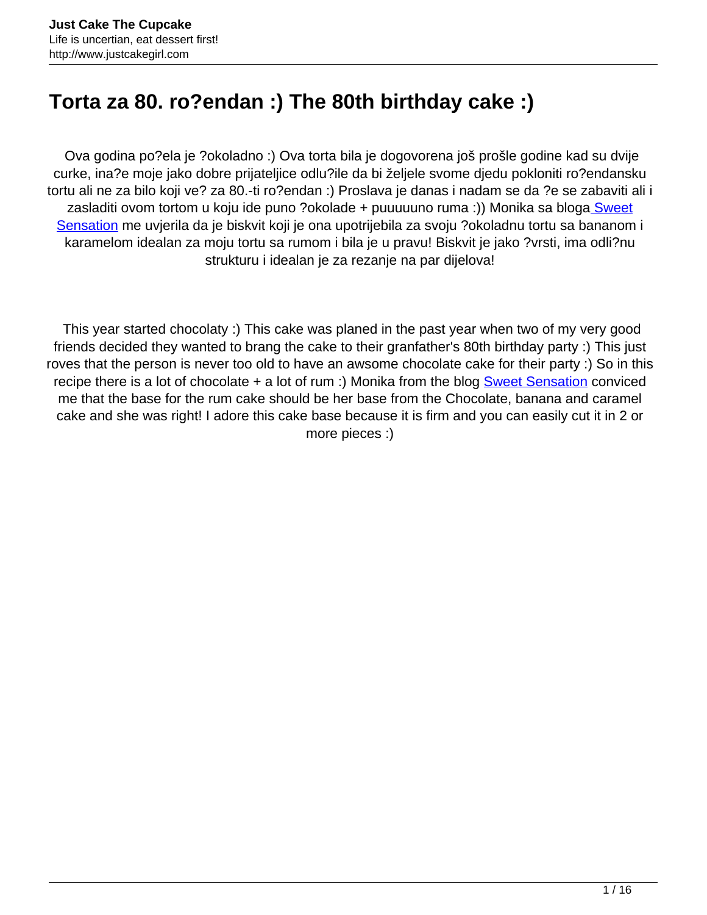# **Torta za 80. ro?endan :) The 80th birthday cake :)**

 Ova godina po?ela je ?okoladno :) Ova torta bila je dogovorena još prošle godine kad su dvije curke, ina?e moje jako dobre prijateljice odlu?ile da bi željele svome djedu pokloniti ro?endansku tortu ali ne za bilo koji ve? za 80.-ti ro?endan :) Proslava je danas i nadam se da ?e se zabaviti ali i zasladiti ovom tortom u koju ide puno ?okolade + puuuuuno ruma :)) Monika sa blog[a Sweet](http://sweetsensation-monchi.blogspot.com/2012/01/cokoladna-torta-s-bananama-i-karamelom.html) [Sensation](http://sweetsensation-monchi.blogspot.com/2012/01/cokoladna-torta-s-bananama-i-karamelom.html) me uvjerila da je biskvit koji je ona upotrijebila za svoju ?okoladnu tortu sa bananom i karamelom idealan za moju tortu sa rumom i bila je u pravu! Biskvit je jako ?vrsti, ima odli?nu strukturu i idealan je za rezanje na par dijelova!

 This year started chocolaty :) This cake was planed in the past year when two of my very good friends decided they wanted to brang the cake to their granfather's 80th birthday party :) This just roves that the person is never too old to have an awsome chocolate cake for their party :) So in this recipe there is a lot of chocolate  $+$  a lot of rum :) Monika from the blog [Sweet Sensation](http://sweetsensation-monchi.blogspot.com/2012/01/cokoladna-torta-s-bananama-i-karamelom.html) conviced me that the base for the rum cake should be her base from the Chocolate, banana and caramel cake and she was right! I adore this cake base because it is firm and you can easily cut it in 2 or more pieces :)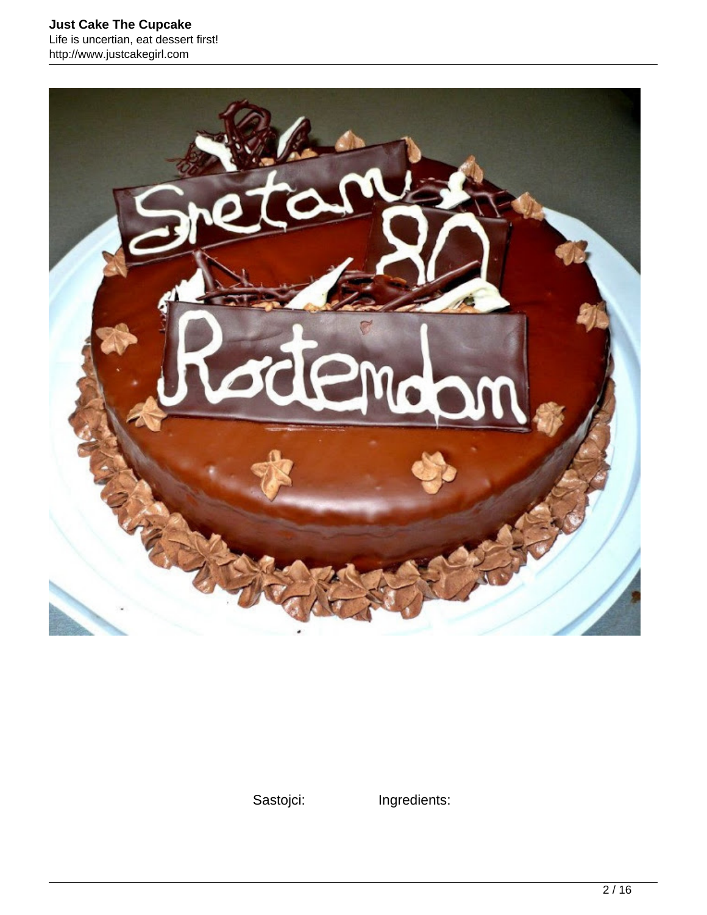

Sastojci: Ingredients: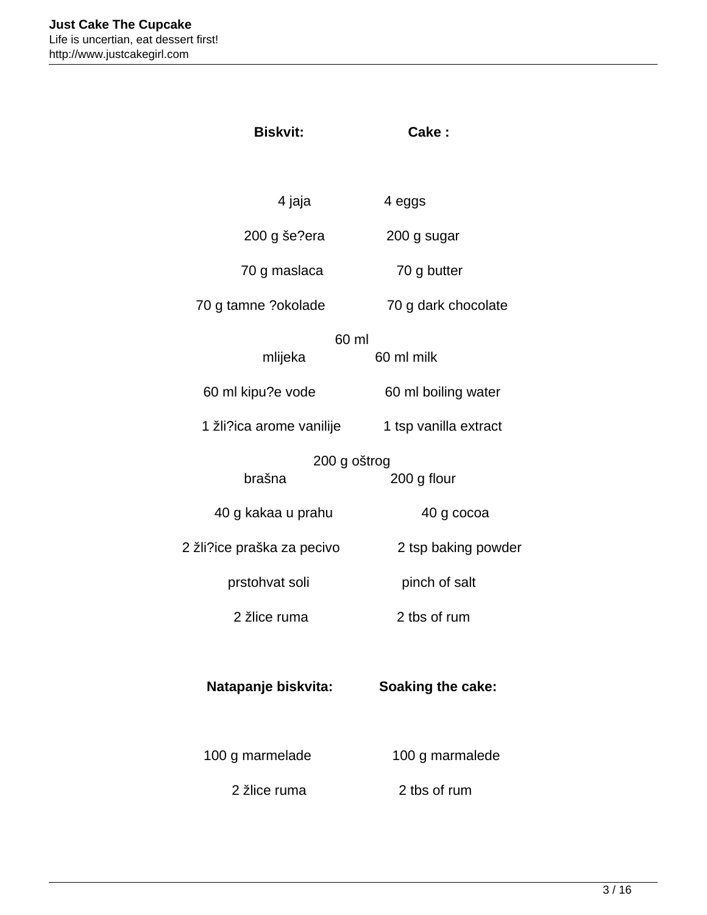| <b>Biskvit:</b>            | Cake:                    |
|----------------------------|--------------------------|
|                            |                          |
| 4 jaja                     | 4 eggs                   |
| 200 g še?era               | 200 g sugar              |
| 70 g maslaca               | 70 g butter              |
| 70 g tamne ?okolade        | 70 g dark chocolate      |
| 60 ml                      |                          |
| mlijeka                    | 60 ml milk               |
| 60 ml kipu?e vode          | 60 ml boiling water      |
| 1 žli?ica arome vanilije   | 1 tsp vanilla extract    |
| 200 g oštrog               |                          |
| brašna                     | 200 g flour              |
| 40 g kakaa u prahu         | 40 g cocoa               |
| 2 žli?ice praška za pecivo | 2 tsp baking powder      |
| prstohvat soli             | pinch of salt            |
| 2 žlice ruma               | 2 tbs of rum             |
|                            |                          |
| Natapanje biskvita:        | <b>Soaking the cake:</b> |
|                            |                          |
| 100 g marmelade            | 100 g marmalede          |
| 2 žlice ruma               | 2 tbs of rum             |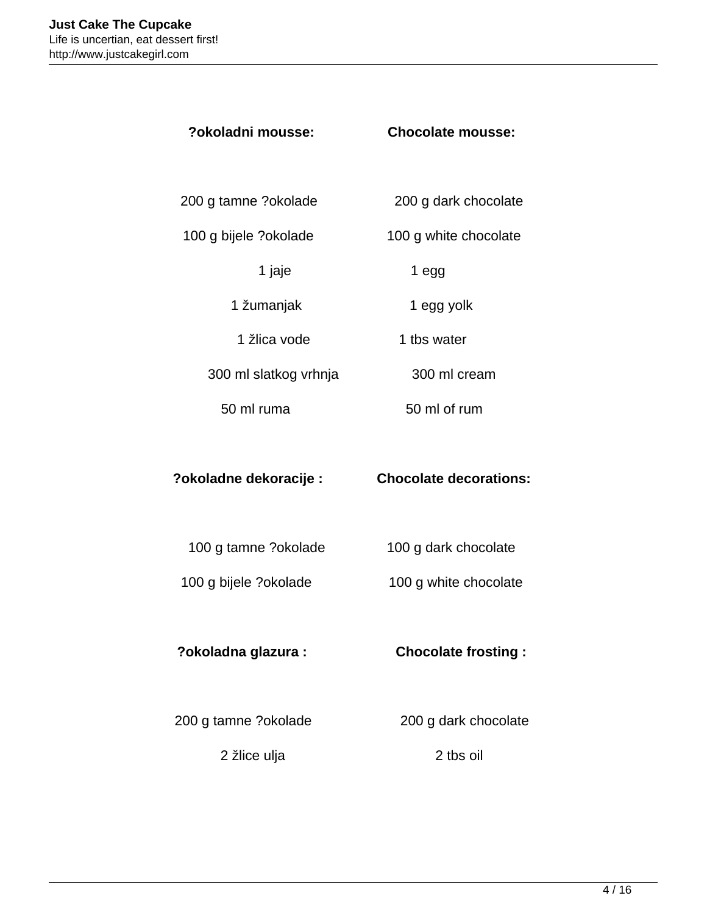| ?okoladni mousse:      | <b>Chocolate mousse:</b>      |
|------------------------|-------------------------------|
|                        |                               |
| 200 g tamne ?okolade   | 200 g dark chocolate          |
| 100 g bijele ?okolade  | 100 g white chocolate         |
| 1 jaje                 | 1 egg                         |
| 1 žumanjak             | 1 egg yolk                    |
| 1 žlica vode           | 1 tbs water                   |
| 300 ml slatkog vrhnja  | 300 ml cream                  |
| 50 ml ruma             | 50 ml of rum                  |
|                        |                               |
|                        |                               |
| ?okoladne dekoracije : | <b>Chocolate decorations:</b> |
|                        |                               |
| 100 g tamne ?okolade   | 100 g dark chocolate          |
| 100 g bijele ?okolade  | 100 g white chocolate         |
|                        |                               |
| ?okoladna glazura :    | <b>Chocolate frosting:</b>    |
|                        |                               |
| 200 g tamne ?okolade   | 200 g dark chocolate          |
| 2 žlice ulja           | 2 tbs oil                     |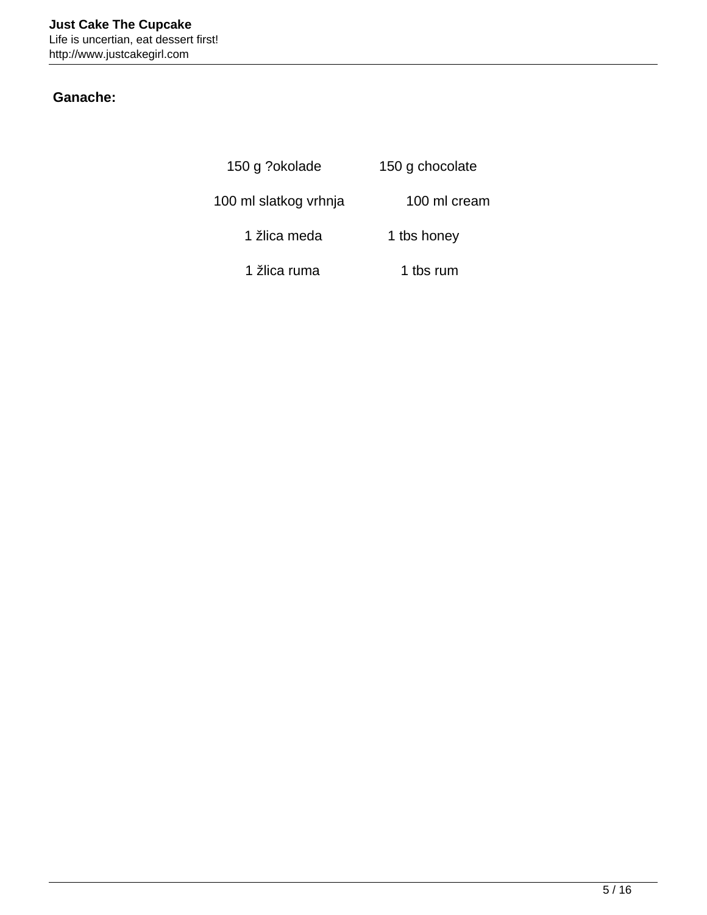## **Ganache:**

150 g ?okolade 150 g chocolate

100 ml slatkog vrhnja 100 ml cream

1 žlica meda 1 tbs honey

1 žlica ruma 1 tbs rum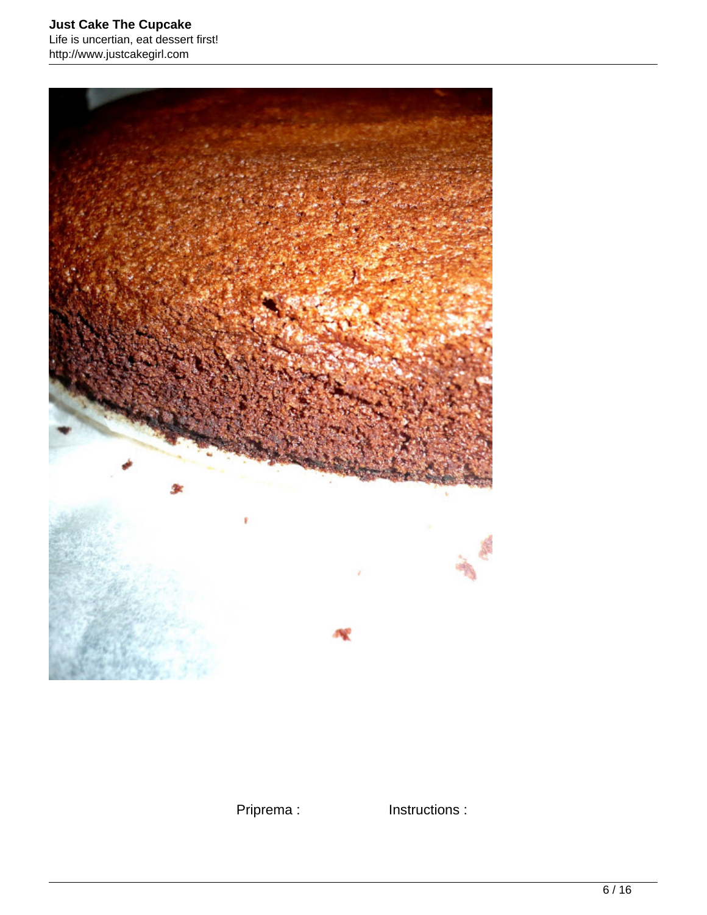#### **Just Cake The Cupcake** Life is uncertian, eat dessert first! http://www.justcakegirl.com



Priprema : Instructions :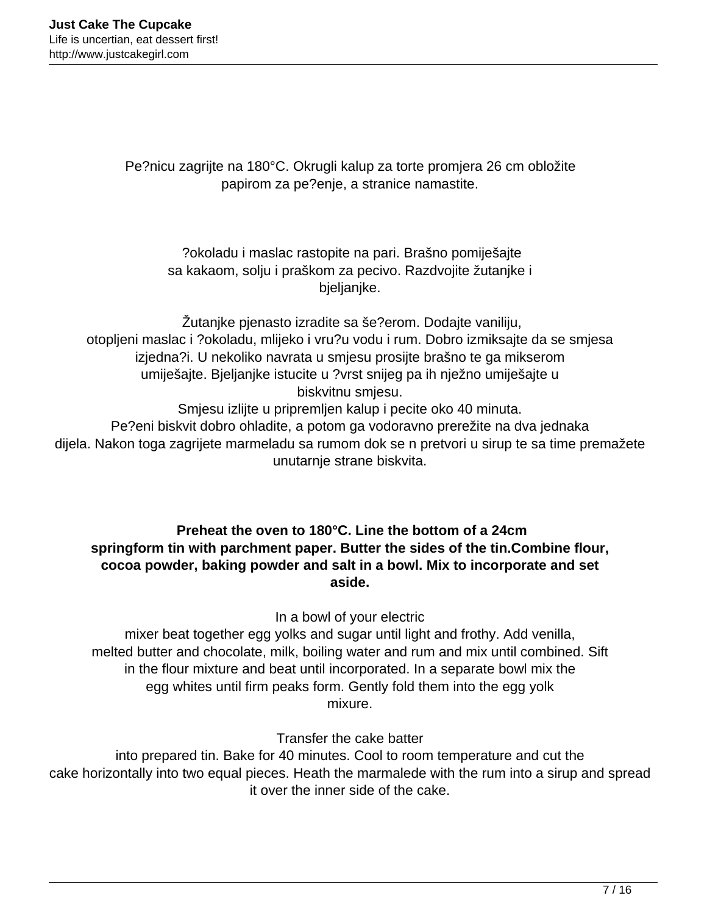Pe?nicu zagrijte na 180°C. Okrugli kalup za torte promjera 26 cm obložite papirom za pe?enje, a stranice namastite.

 ?okoladu i maslac rastopite na pari. Brašno pomiješajte sa kakaom, solju i praškom za pecivo. Razdvojite žutanjke i bjeljanjke.

 Žutanjke pjenasto izradite sa še?erom. Dodajte vaniliju, otopljeni maslac i ?okoladu, mlijeko i vru?u vodu i rum. Dobro izmiksajte da se smjesa izjedna?i. U nekoliko navrata u smjesu prosijte brašno te ga mikserom umiješajte. Bjeljanjke istucite u ?vrst snijeg pa ih nježno umiješajte u biskvitnu smjesu.

Smjesu izlijte u pripremljen kalup i pecite oko 40 minuta. Pe?eni biskvit dobro ohladite, a potom ga vodoravno prerežite na dva jednaka dijela. Nakon toga zagrijete marmeladu sa rumom dok se n pretvori u sirup te sa time premažete unutarnje strane biskvita.

**Preheat the oven to 180°C. Line the bottom of a 24cm springform tin with parchment paper. Butter the sides of the tin.Combine flour, cocoa powder, baking powder and salt in a bowl. Mix to incorporate and set aside.**

In a bowl of your electric

mixer beat together egg yolks and sugar until light and frothy. Add venilla, melted butter and chocolate, milk, boiling water and rum and mix until combined. Sift in the flour mixture and beat until incorporated. In a separate bowl mix the egg whites until firm peaks form. Gently fold them into the egg yolk mixure.

Transfer the cake batter

into prepared tin. Bake for 40 minutes. Cool to room temperature and cut the cake horizontally into two equal pieces. Heath the marmalede with the rum into a sirup and spread it over the inner side of the cake.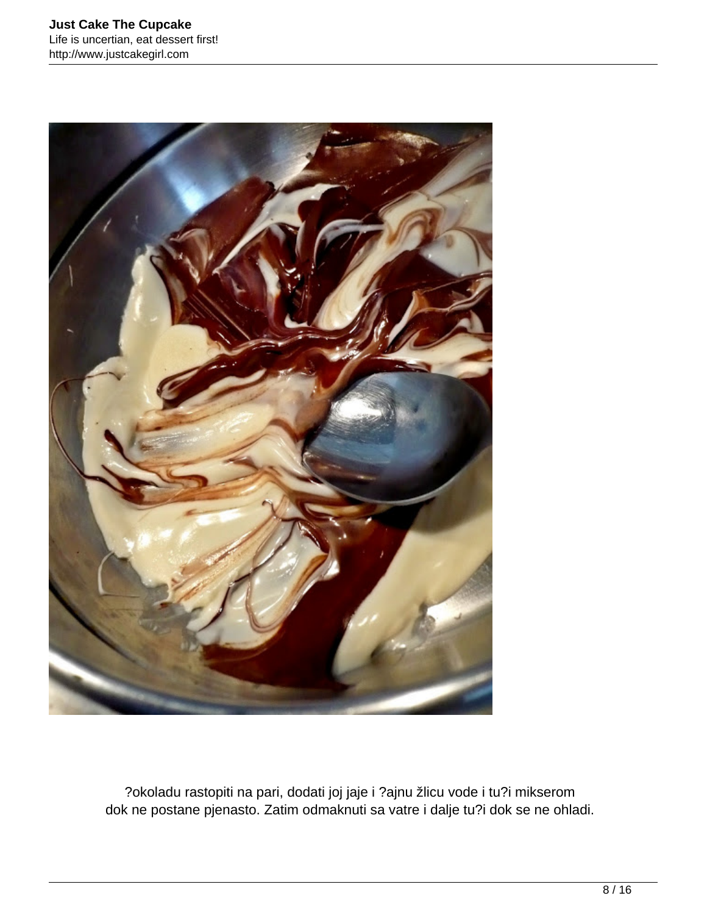

?okoladu rastopiti na pari, dodati joj jaje i ?ajnu žlicu vode i tu?i mikserom dok ne postane pjenasto. Zatim odmaknuti sa vatre i dalje tu?i dok se ne ohladi.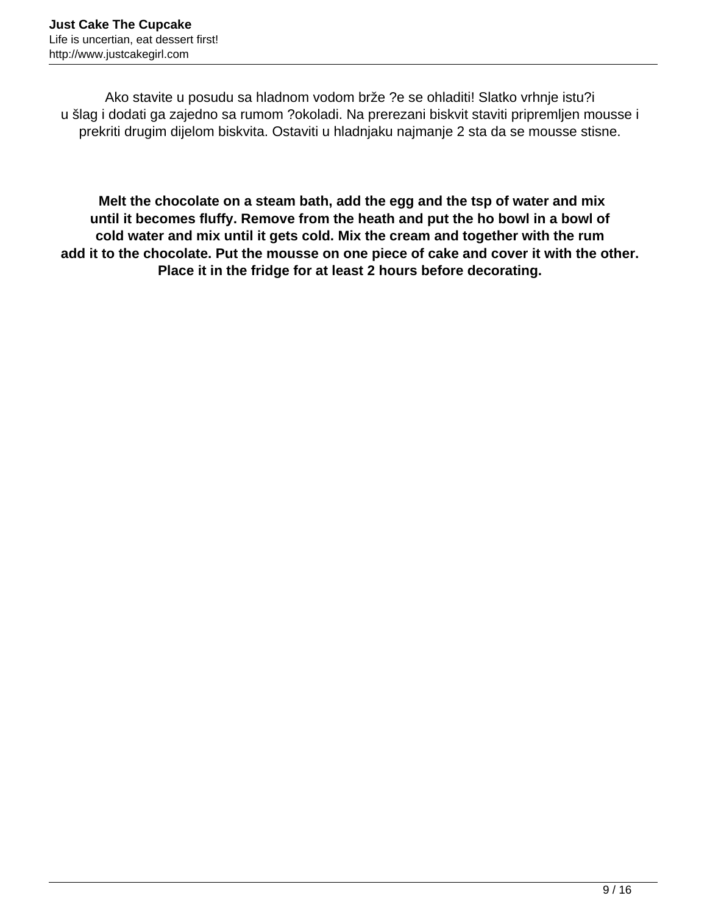Ako stavite u posudu sa hladnom vodom brže ?e se ohladiti! Slatko vrhnje istu?i u šlag i dodati ga zajedno sa rumom ?okoladi. Na prerezani biskvit staviti pripremljen mousse i prekriti drugim dijelom biskvita. Ostaviti u hladnjaku najmanje 2 sta da se mousse stisne.

**Melt the chocolate on a steam bath, add the egg and the tsp of water and mix until it becomes fluffy. Remove from the heath and put the ho bowl in a bowl of cold water and mix until it gets cold. Mix the cream and together with the rum add it to the chocolate. Put the mousse on one piece of cake and cover it with the other. Place it in the fridge for at least 2 hours before decorating.**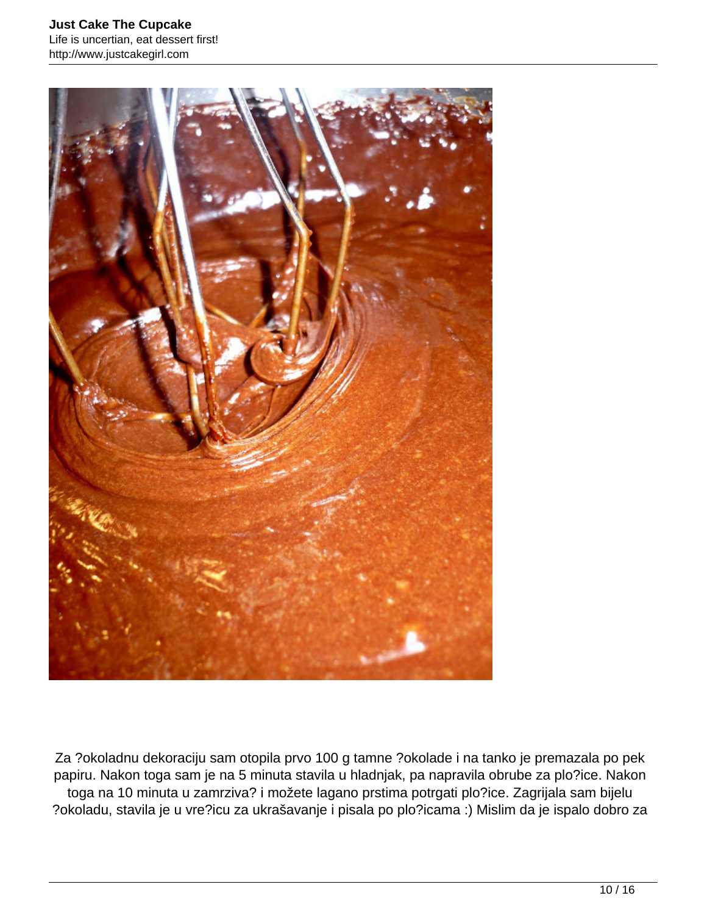

Za ?okoladnu dekoraciju sam otopila prvo 100 g tamne ?okolade i na tanko je premazala po pek papiru. Nakon toga sam je na 5 minuta stavila u hladnjak, pa napravila obrube za plo?ice. Nakon toga na 10 minuta u zamrziva? i možete lagano prstima potrgati plo?ice. Zagrijala sam bijelu ?okoladu, stavila je u vre?icu za ukrašavanje i pisala po plo?icama :) Mislim da je ispalo dobro za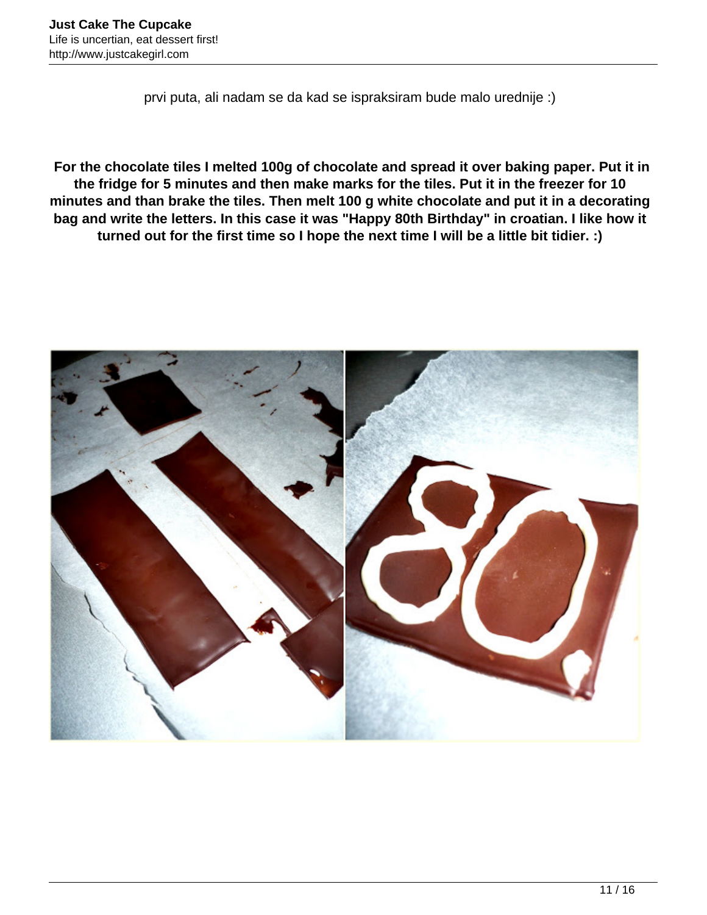prvi puta, ali nadam se da kad se ispraksiram bude malo urednije :)

**For the chocolate tiles I melted 100g of chocolate and spread it over baking paper. Put it in the fridge for 5 minutes and then make marks for the tiles. Put it in the freezer for 10 minutes and than brake the tiles. Then melt 100 g white chocolate and put it in a decorating bag and write the letters. In this case it was "Happy 80th Birthday" in croatian. I like how it turned out for the first time so I hope the next time I will be a little bit tidier. :)**

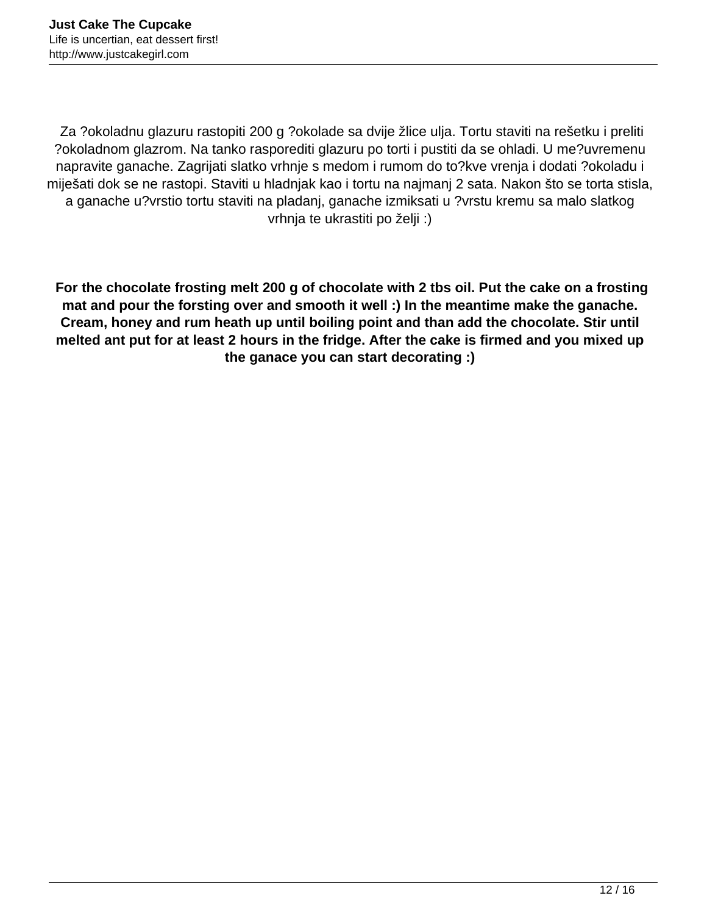Za ?okoladnu glazuru rastopiti 200 g ?okolade sa dvije žlice ulja. Tortu staviti na rešetku i preliti ?okoladnom glazrom. Na tanko rasporediti glazuru po torti i pustiti da se ohladi. U me?uvremenu napravite ganache. Zagrijati slatko vrhnje s medom i rumom do to?kve vrenja i dodati ?okoladu i miješati dok se ne rastopi. Staviti u hladnjak kao i tortu na najmanj 2 sata. Nakon što se torta stisla, a ganache u?vrstio tortu staviti na pladanj, ganache izmiksati u ?vrstu kremu sa malo slatkog vrhnja te ukrastiti po želji :)

**For the chocolate frosting melt 200 g of chocolate with 2 tbs oil. Put the cake on a frosting mat and pour the forsting over and smooth it well :) In the meantime make the ganache. Cream, honey and rum heath up until boiling point and than add the chocolate. Stir until melted ant put for at least 2 hours in the fridge. After the cake is firmed and you mixed up the ganace you can start decorating :)**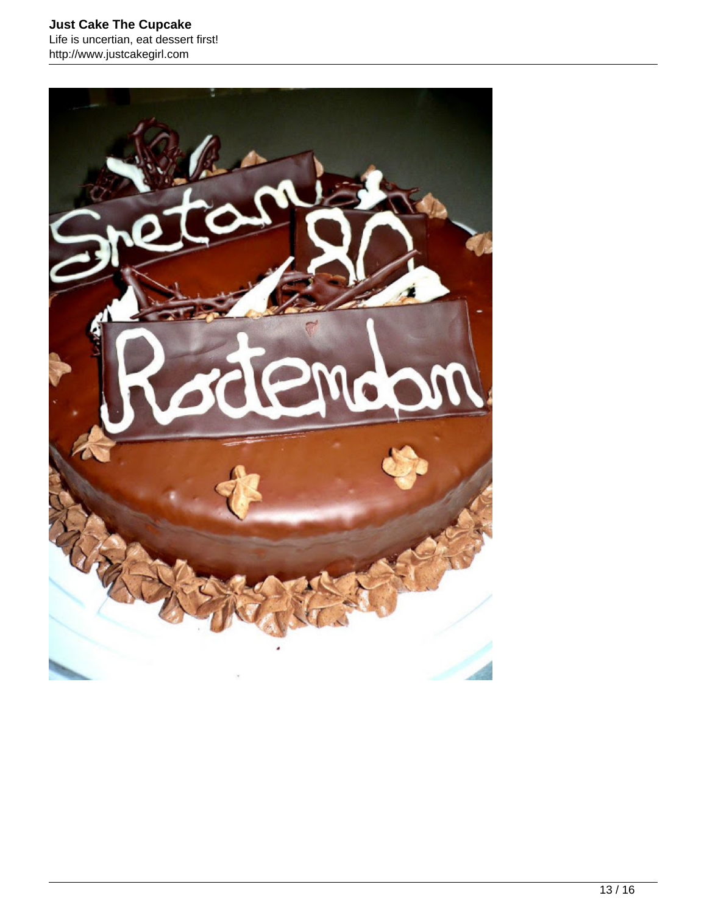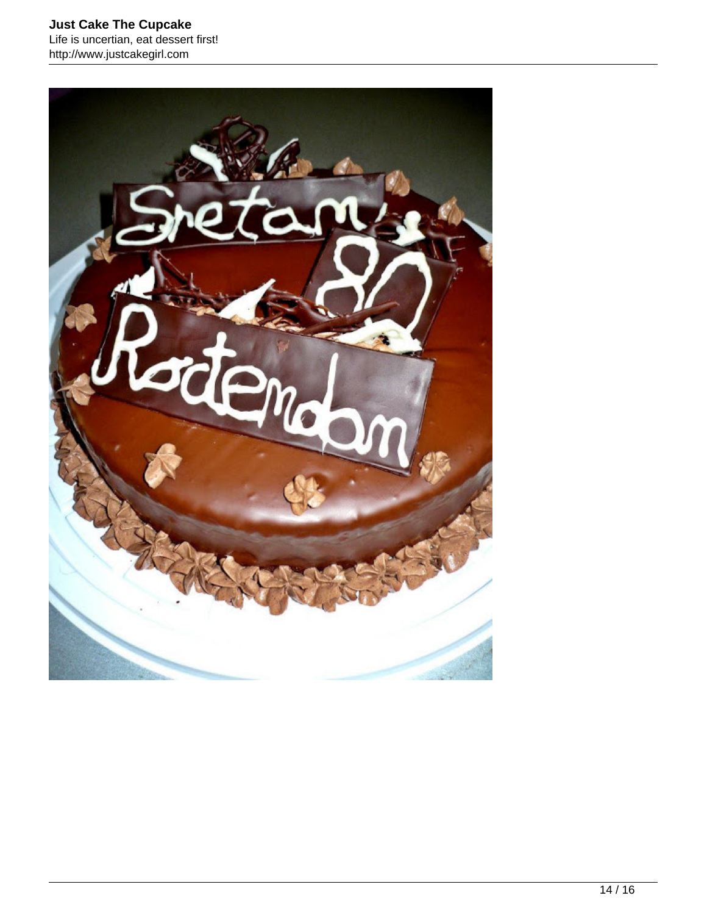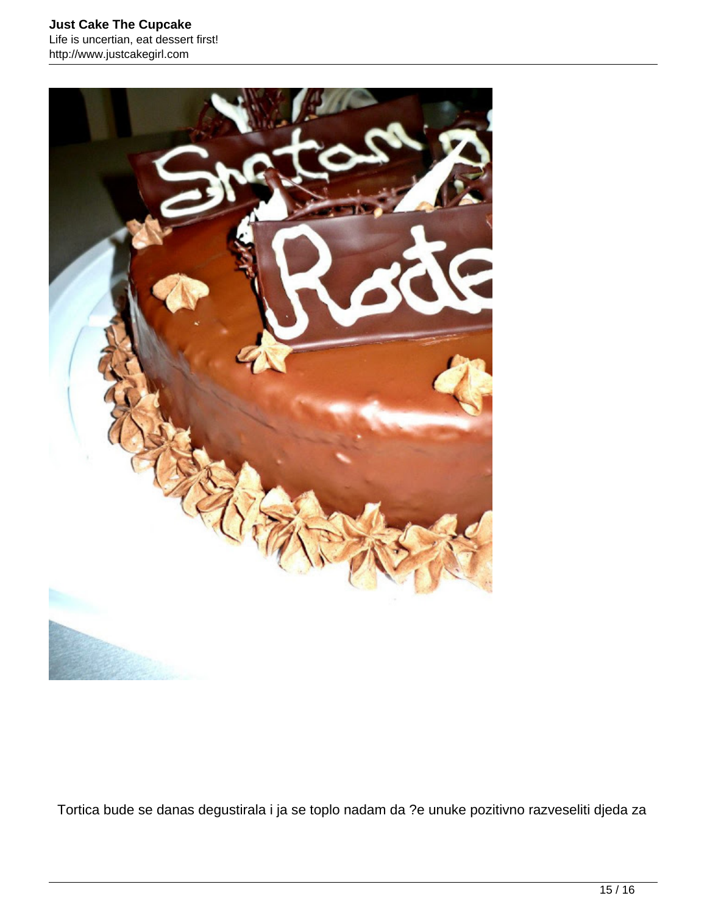

Tortica bude se danas degustirala i ja se toplo nadam da ?e unuke pozitivno razveseliti djeda za